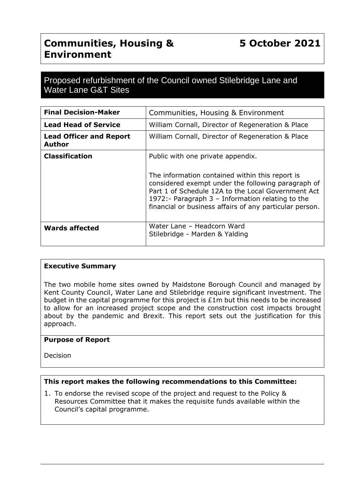# **Communities, Housing & Environment**

# Proposed refurbishment of the Council owned Stilebridge Lane and Water Lane G&T Sites

| <b>Final Decision-Maker</b>                     | Communities, Housing & Environment                                                                                                                                                                                                                                                                                |
|-------------------------------------------------|-------------------------------------------------------------------------------------------------------------------------------------------------------------------------------------------------------------------------------------------------------------------------------------------------------------------|
| <b>Lead Head of Service</b>                     | William Cornall, Director of Regeneration & Place                                                                                                                                                                                                                                                                 |
| <b>Lead Officer and Report</b><br><b>Author</b> | William Cornall, Director of Regeneration & Place                                                                                                                                                                                                                                                                 |
| <b>Classification</b>                           | Public with one private appendix.<br>The information contained within this report is<br>considered exempt under the following paragraph of<br>Part 1 of Schedule 12A to the Local Government Act<br>1972:- Paragraph $3$ – Information relating to the<br>financial or business affairs of any particular person. |
| <b>Wards affected</b>                           | Water Lane - Headcorn Ward<br>Stilebridge - Marden & Yalding                                                                                                                                                                                                                                                      |

### **Executive Summary**

The two mobile home sites owned by Maidstone Borough Council and managed by Kent County Council, Water Lane and Stilebridge require significant investment. The budget in the capital programme for this project is £1m but this needs to be increased to allow for an increased project scope and the construction cost impacts brought about by the pandemic and Brexit. This report sets out the justification for this approach.

### **Purpose of Report**

Decision

## **This report makes the following recommendations to this Committee:**

1. To endorse the revised scope of the project and request to the Policy & Resources Committee that it makes the requisite funds available within the Council's capital programme.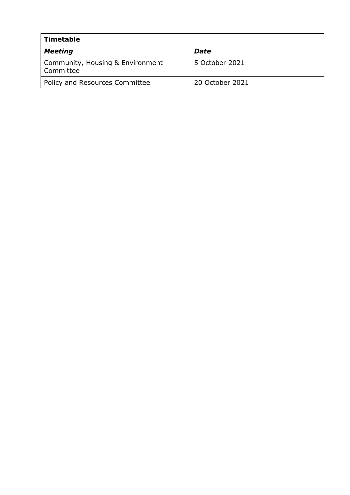| <b>Timetable</b>                              |                 |  |
|-----------------------------------------------|-----------------|--|
| <b>Meeting</b>                                | <b>Date</b>     |  |
| Community, Housing & Environment<br>Committee | 5 October 2021  |  |
| Policy and Resources Committee                | 20 October 2021 |  |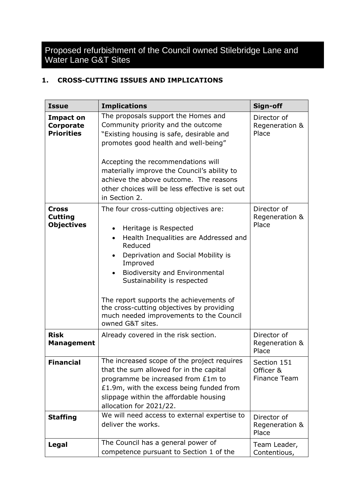Proposed refurbishment of the Council owned Stilebridge Lane and Water Lane G&T Sites

## **1. CROSS-CUTTING ISSUES AND IMPLICATIONS**

| <b>Issue</b>                                        | <b>Implications</b>                                                                                                                                                                                                                                                                                                                                                                                                            | Sign-off                                 |
|-----------------------------------------------------|--------------------------------------------------------------------------------------------------------------------------------------------------------------------------------------------------------------------------------------------------------------------------------------------------------------------------------------------------------------------------------------------------------------------------------|------------------------------------------|
| <b>Impact on</b><br>Corporate<br><b>Priorities</b>  | The proposals support the Homes and<br>Community priority and the outcome<br>"Existing housing is safe, desirable and<br>promotes good health and well-being"<br>Accepting the recommendations will<br>materially improve the Council's ability to<br>achieve the above outcome. The reasons<br>other choices will be less effective is set out<br>in Section 2.                                                               | Director of<br>Regeneration &<br>Place   |
| <b>Cross</b><br><b>Cutting</b><br><b>Objectives</b> | The four cross-cutting objectives are:<br>Heritage is Respected<br>$\bullet$<br>Health Inequalities are Addressed and<br>$\bullet$<br>Reduced<br>Deprivation and Social Mobility is<br>Improved<br><b>Biodiversity and Environmental</b><br>Sustainability is respected<br>The report supports the achievements of<br>the cross-cutting objectives by providing<br>much needed improvements to the Council<br>owned G&T sites. | Director of<br>Regeneration &<br>Place   |
| <b>Risk</b><br><b>Management</b>                    | Already covered in the risk section.                                                                                                                                                                                                                                                                                                                                                                                           | Director of<br>Regeneration &<br>Place   |
| <b>Financial</b>                                    | The increased scope of the project requires<br>that the sum allowed for in the capital<br>programme be increased from £1m to<br>£1.9m, with the excess being funded from<br>slippage within the affordable housing<br>allocation for 2021/22.                                                                                                                                                                                  | Section 151<br>Officer &<br>Finance Team |
| <b>Staffing</b>                                     | We will need access to external expertise to<br>deliver the works.                                                                                                                                                                                                                                                                                                                                                             | Director of<br>Regeneration &<br>Place   |
| Legal                                               | The Council has a general power of<br>competence pursuant to Section 1 of the                                                                                                                                                                                                                                                                                                                                                  | Team Leader,<br>Contentious,             |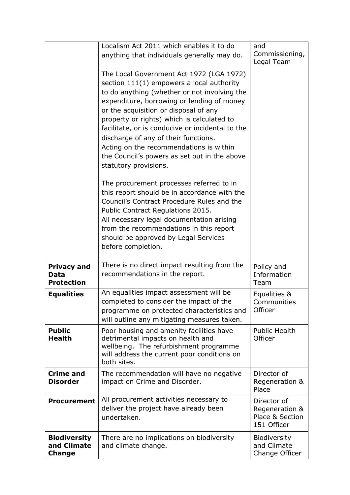|                                                     | Localism Act 2011 which enables it to do<br>anything that individuals generally may do.                                                                                                                                                                                                                                                                                                                                                                                                    | and<br>Commissioning,<br>Legal Team                             |
|-----------------------------------------------------|--------------------------------------------------------------------------------------------------------------------------------------------------------------------------------------------------------------------------------------------------------------------------------------------------------------------------------------------------------------------------------------------------------------------------------------------------------------------------------------------|-----------------------------------------------------------------|
|                                                     | The Local Government Act 1972 (LGA 1972)<br>section 111(1) empowers a local authority<br>to do anything (whether or not involving the<br>expenditure, borrowing or lending of money<br>or the acquisition or disposal of any<br>property or rights) which is calculated to<br>facilitate, or is conducive or incidental to the<br>discharge of any of their functions.<br>Acting on the recommendations is within<br>the Council's powers as set out in the above<br>statutory provisions. |                                                                 |
|                                                     | The procurement processes referred to in<br>this report should be in accordance with the<br>Council's Contract Procedure Rules and the<br>Public Contract Regulations 2015.<br>All necessary legal documentation arising<br>from the recommendations in this report<br>should be approved by Legal Services<br>before completion.                                                                                                                                                          |                                                                 |
| <b>Privacy and</b><br>Data<br><b>Protection</b>     | There is no direct impact resulting from the<br>recommendations in the report.                                                                                                                                                                                                                                                                                                                                                                                                             | Policy and<br>Information<br>Team                               |
| <b>Equalities</b>                                   | An equalities impact assessment will be<br>completed to consider the impact of the<br>programme on protected characteristics and<br>will outline any mitigating measures taken.                                                                                                                                                                                                                                                                                                            | Equalities &<br>Communities<br>Officer                          |
| <b>Public</b><br><b>Health</b>                      | Poor housing and amenity facilities have<br>detrimental impacts on health and<br>wellbeing. The refurbishment programme<br>will address the current poor conditions on<br>both sites.                                                                                                                                                                                                                                                                                                      | <b>Public Health</b><br>Officer                                 |
| <b>Crime and</b><br><b>Disorder</b>                 | The recommendation will have no negative<br>impact on Crime and Disorder.                                                                                                                                                                                                                                                                                                                                                                                                                  | Director of<br>Regeneration &<br>Place                          |
| <b>Procurement</b>                                  | All procurement activities necessary to<br>deliver the project have already been<br>undertaken.                                                                                                                                                                                                                                                                                                                                                                                            | Director of<br>Regeneration &<br>Place & Section<br>151 Officer |
| <b>Biodiversity</b><br>and Climate<br><b>Change</b> | There are no implications on biodiversity<br>and climate change.                                                                                                                                                                                                                                                                                                                                                                                                                           | <b>Biodiversity</b><br>and Climate<br>Change Officer            |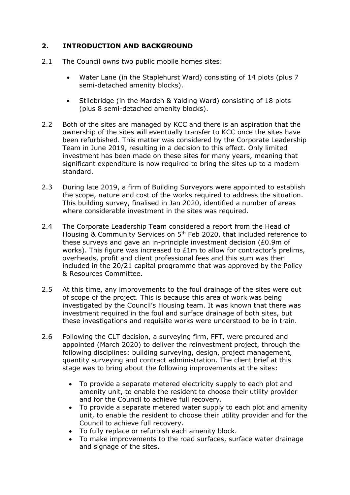## **2. INTRODUCTION AND BACKGROUND**

- 2.1 The Council owns two public mobile homes sites:
	- Water Lane (in the Staplehurst Ward) consisting of 14 plots (plus 7 semi-detached amenity blocks).
	- Stilebridge (in the Marden & Yalding Ward) consisting of 18 plots (plus 8 semi-detached amenity blocks).
- 2.2 Both of the sites are managed by KCC and there is an aspiration that the ownership of the sites will eventually transfer to KCC once the sites have been refurbished. This matter was considered by the Corporate Leadership Team in June 2019, resulting in a decision to this effect. Only limited investment has been made on these sites for many years, meaning that significant expenditure is now required to bring the sites up to a modern standard.
- 2.3 During late 2019, a firm of Building Surveyors were appointed to establish the scope, nature and cost of the works required to address the situation. This building survey, finalised in Jan 2020, identified a number of areas where considerable investment in the sites was required.
- 2.4 The Corporate Leadership Team considered a report from the Head of Housing & Community Services on 5<sup>th</sup> Feb 2020, that included reference to these surveys and gave an in-principle investment decision (£0.9m of works). This figure was increased to £1m to allow for contractor's prelims, overheads, profit and client professional fees and this sum was then included in the 20/21 capital programme that was approved by the Policy & Resources Committee.
- 2.5 At this time, any improvements to the foul drainage of the sites were out of scope of the project. This is because this area of work was being investigated by the Council's Housing team. It was known that there was investment required in the foul and surface drainage of both sites, but these investigations and requisite works were understood to be in train.
- 2.6 Following the CLT decision, a surveying firm, FFT, were procured and appointed (March 2020) to deliver the reinvestment project, through the following disciplines: building surveying, design, project management, quantity surveying and contract administration. The client brief at this stage was to bring about the following improvements at the sites:
	- To provide a separate metered electricity supply to each plot and amenity unit, to enable the resident to choose their utility provider and for the Council to achieve full recovery.
	- To provide a separate metered water supply to each plot and amenity unit, to enable the resident to choose their utility provider and for the Council to achieve full recovery.
	- To fully replace or refurbish each amenity block.
	- To make improvements to the road surfaces, surface water drainage and signage of the sites.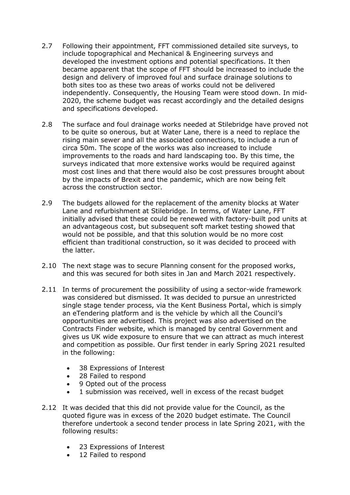- 2.7 Following their appointment, FFT commissioned detailed site surveys, to include topographical and Mechanical & Engineering surveys and developed the investment options and potential specifications. It then became apparent that the scope of FFT should be increased to include the design and delivery of improved foul and surface drainage solutions to both sites too as these two areas of works could not be delivered independently. Consequently, the Housing Team were stood down. In mid-2020, the scheme budget was recast accordingly and the detailed designs and specifications developed.
- 2.8 The surface and foul drainage works needed at Stilebridge have proved not to be quite so onerous, but at Water Lane, there is a need to replace the rising main sewer and all the associated connections, to include a run of circa 50m. The scope of the works was also increased to include improvements to the roads and hard landscaping too. By this time, the surveys indicated that more extensive works would be required against most cost lines and that there would also be cost pressures brought about by the impacts of Brexit and the pandemic, which are now being felt across the construction sector.
- 2.9 The budgets allowed for the replacement of the amenity blocks at Water Lane and refurbishment at Stilebridge. In terms, of Water Lane, FFT initially advised that these could be renewed with factory-built pod units at an advantageous cost, but subsequent soft market testing showed that would not be possible, and that this solution would be no more cost efficient than traditional construction, so it was decided to proceed with the latter.
- 2.10 The next stage was to secure Planning consent for the proposed works, and this was secured for both sites in Jan and March 2021 respectively.
- 2.11 In terms of procurement the possibility of using a sector-wide framework was considered but dismissed. It was decided to pursue an unrestricted single stage tender process, via the Kent Business Portal, which is simply an eTendering platform and is the vehicle by which all the Council's opportunities are advertised. This project was also advertised on the Contracts Finder website, which is managed by central Government and gives us UK wide exposure to ensure that we can attract as much interest and competition as possible. Our first tender in early Spring 2021 resulted in the following:
	- 38 Expressions of Interest
	- 28 Failed to respond
	- 9 Opted out of the process
	- 1 submission was received, well in excess of the recast budget
- 2.12 It was decided that this did not provide value for the Council, as the quoted figure was in excess of the 2020 budget estimate. The Council therefore undertook a second tender process in late Spring 2021, with the following results:
	- 23 Expressions of Interest
	- 12 Failed to respond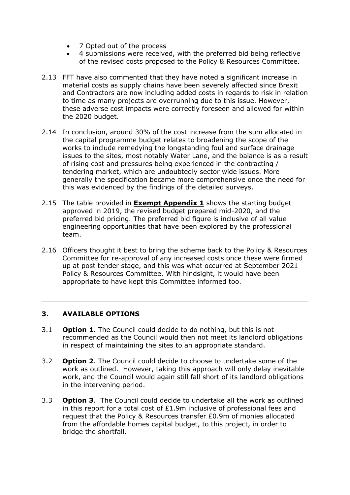- 7 Opted out of the process
- 4 submissions were received, with the preferred bid being reflective of the revised costs proposed to the Policy & Resources Committee.
- 2.13 FFT have also commented that they have noted a significant increase in material costs as supply chains have been severely affected since Brexit and Contractors are now including added costs in regards to risk in relation to time as many projects are overrunning due to this issue. However, these adverse cost impacts were correctly foreseen and allowed for within the 2020 budget.
- 2.14 In conclusion, around 30% of the cost increase from the sum allocated in the capital programme budget relates to broadening the scope of the works to include remedying the longstanding foul and surface drainage issues to the sites, most notably Water Lane, and the balance is as a result of rising cost and pressures being experienced in the contracting / tendering market, which are undoubtedly sector wide issues. More generally the specification became more comprehensive once the need for this was evidenced by the findings of the detailed surveys.
- 2.15 The table provided in **Exempt Appendix 1** shows the starting budget approved in 2019, the revised budget prepared mid-2020, and the preferred bid pricing. The preferred bid figure is inclusive of all value engineering opportunities that have been explored by the professional team.
- 2.16 Officers thought it best to bring the scheme back to the Policy & Resources Committee for re-approval of any increased costs once these were firmed up at post tender stage, and this was what occurred at September 2021 Policy & Resources Committee. With hindsight, it would have been appropriate to have kept this Committee informed too.

## **3. AVAILABLE OPTIONS**

- 3.1 **Option 1**. The Council could decide to do nothing, but this is not recommended as the Council would then not meet its landlord obligations in respect of maintaining the sites to an appropriate standard.
- 3.2 **Option 2**. The Council could decide to choose to undertake some of the work as outlined. However, taking this approach will only delay inevitable work, and the Council would again still fall short of its landlord obligations in the intervening period.
- 3.3 **Option 3**. The Council could decide to undertake all the work as outlined in this report for a total cost of £1.9m inclusive of professional fees and request that the Policy & Resources transfer £0.9m of monies allocated from the affordable homes capital budget, to this project, in order to bridge the shortfall.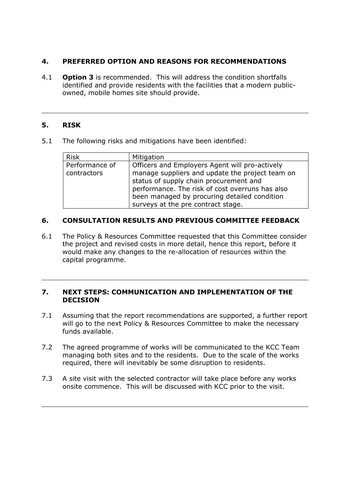## **4. PREFERRED OPTION AND REASONS FOR RECOMMENDATIONS**

4.1 **Option 3** is recommended. This will address the condition shortfalls identified and provide residents with the facilities that a modern publicowned, mobile homes site should provide.

### **5. RISK**

5.1 The following risks and mitigations have been identified:

| Performance of<br>Officers and Employers Agent will pro-actively                                                                                                                | <b>Risk</b> | Mitigation                                      |
|---------------------------------------------------------------------------------------------------------------------------------------------------------------------------------|-------------|-------------------------------------------------|
| status of supply chain procurement and<br>performance. The risk of cost overruns has also<br>been managed by procuring detailed condition<br>surveys at the pre contract stage. | contractors | manage suppliers and update the project team on |

### **6. CONSULTATION RESULTS AND PREVIOUS COMMITTEE FEEDBACK**

6.1 The Policy & Resources Committee requested that this Committee consider the project and revised costs in more detail, hence this report, before it would make any changes to the re-allocation of resources within the capital programme.

#### **7. NEXT STEPS: COMMUNICATION AND IMPLEMENTATION OF THE DECISION**

- 7.1 Assuming that the report recommendations are supported, a further report will go to the next Policy & Resources Committee to make the necessary funds available.
- 7.2 The agreed programme of works will be communicated to the KCC Team managing both sites and to the residents. Due to the scale of the works required, there will inevitably be some disruption to residents.
- 7.3 A site visit with the selected contractor will take place before any works onsite commence. This will be discussed with KCC prior to the visit.